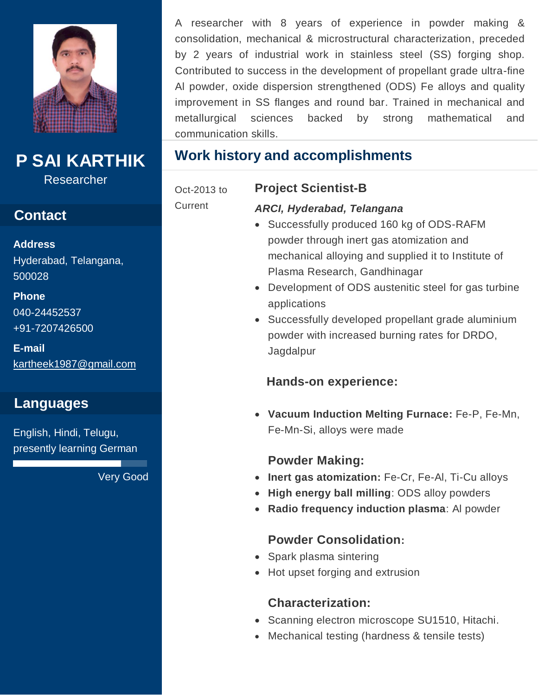

**P SAI KARTHIK**

Researcher

## **Contact**

**Address**  Hyderabad, Telangana,

500028 **Phone** 

040-24452537 +91-7207426500

**E-mail**  [kartheek1987@gmail.com](mailto:kartheek1987@gmail.com)

## **Languages**

English, Hindi, Telugu, presently learning German

Very Good

A researcher with 8 years of experience in powder making & consolidation, mechanical & microstructural characterization, preceded by 2 years of industrial work in stainless steel (SS) forging shop. Contributed to success in the development of propellant grade ultra-fine Al powder, oxide dispersion strengthened (ODS) Fe alloys and quality improvement in SS flanges and round bar. Trained in mechanical and metallurgical sciences backed by strong mathematical and communication skills.

## **Work history and accomplishments**

#### Oct-2013 to

**Current** 

# **Project Scientist-B**

*ARCI, Hyderabad, Telangana* Successfully produced 160 kg of ODS-RAFM powder through inert gas atomization and mechanical alloying and supplied it to Institute of

Plasma Research, Gandhinagar

- Development of ODS austenitic steel for gas turbine applications
- Successfully developed propellant grade aluminium powder with increased burning rates for DRDO, Jagdalpur

#### **Hands-on experience:**

 **Vacuum Induction Melting Furnace:** Fe-P, Fe-Mn, Fe-Mn-Si, alloys were made

#### **Powder Making:**

- **Inert gas atomization:** Fe-Cr, Fe-Al, Ti-Cu alloys
- **High energy ball milling**: ODS alloy powders
- **Radio frequency induction plasma**: Al powder

#### **Powder Consolidation:**

- Spark plasma sintering
- Hot upset forging and extrusion

#### **Characterization:**

- Scanning electron microscope SU1510, Hitachi.
- Mechanical testing (hardness & tensile tests)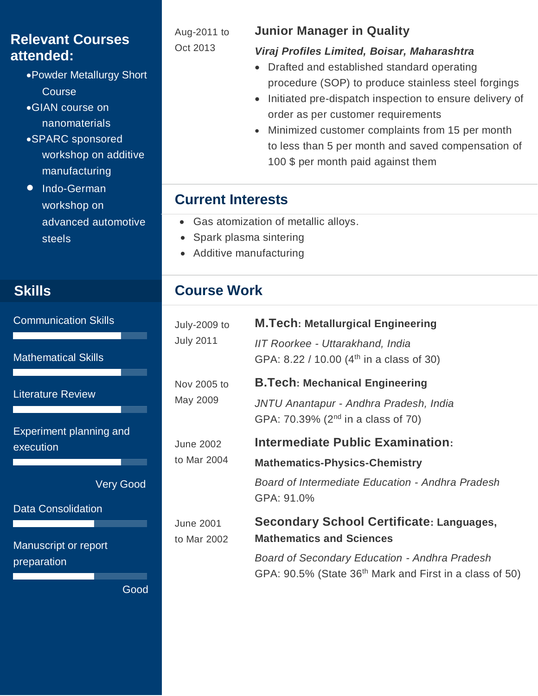## **Relevant Courses attended:**

- Powder Metallurgy Short **Course**
- GIAN course on nanomaterials
- SPARC sponsored workshop on additive manufacturing
- Indo-German workshop on advanced automotive steels

## **Skills**

Communication Skills

Mathematical Skills

Literature Review

Experiment planning and execution

Very Good

Data Consolidation

Manuscript or report preparation

Aug-2011 to Oct 2013

#### **Junior Manager in Quality**

#### *Viraj Profiles Limited, Boisar, Maharashtra*

- Drafted and established standard operating procedure (SOP) to produce stainless steel forgings
- Initiated pre-dispatch inspection to ensure delivery of order as per customer requirements
- Minimized customer complaints from 15 per month to less than 5 per month and saved compensation of 100 \$ per month paid against them

## **Current Interests**

- Gas atomization of metallic alloys.
- Spark plasma sintering
- Additive manufacturing

## **Course Work**

| July-2009 to<br><b>July 2011</b> | <b>M.Tech: Metallurgical Engineering</b><br><b>IIT Roorkee - Uttarakhand, India</b><br>GPA: 8.22 / 10.00 (4 <sup>th</sup> in a class of 30)                                                                       |
|----------------------------------|-------------------------------------------------------------------------------------------------------------------------------------------------------------------------------------------------------------------|
| Nov 2005 to<br>May 2009          | <b>B.Tech: Mechanical Engineering</b><br>JNTU Anantapur - Andhra Pradesh, India<br>GPA: 70.39% (2 <sup>nd</sup> in a class of 70)                                                                                 |
| June 2002<br>to Mar 2004         | <b>Intermediate Public Examination:</b><br><b>Mathematics-Physics-Chemistry</b><br>Board of Intermediate Education - Andhra Pradesh<br>GPA: 91.0%                                                                 |
| June 2001<br>to Mar 2002         | <b>Secondary School Certificate: Languages,</b><br><b>Mathematics and Sciences</b><br><b>Board of Secondary Education - Andhra Pradesh</b><br>GPA: 90.5% (State 36 <sup>th</sup> Mark and First in a class of 50) |

Good